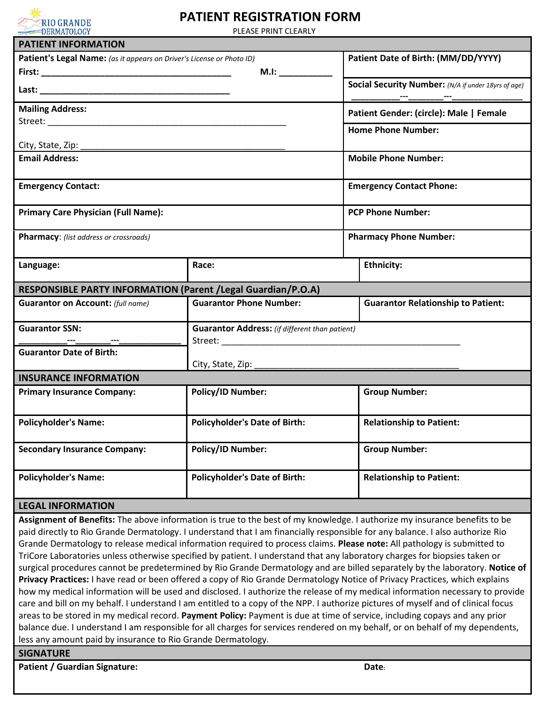

## **PATIENT REGISTRATION FORM**

PLEASE PRINT CLEARLY

| <b>PATIENT INFORMATION</b>                                                                                                                                                                                                                                                                                                                                                              |                                                       |                                                                                                                            |  |  |  |  |
|-----------------------------------------------------------------------------------------------------------------------------------------------------------------------------------------------------------------------------------------------------------------------------------------------------------------------------------------------------------------------------------------|-------------------------------------------------------|----------------------------------------------------------------------------------------------------------------------------|--|--|--|--|
| Patient's Legal Name: (as it appears on Driver's License or Photo ID)                                                                                                                                                                                                                                                                                                                   | Patient Date of Birth: (MM/DD/YYYY)                   |                                                                                                                            |  |  |  |  |
|                                                                                                                                                                                                                                                                                                                                                                                         | M.I:                                                  |                                                                                                                            |  |  |  |  |
|                                                                                                                                                                                                                                                                                                                                                                                         | Social Security Number: (N/A if under 18yrs of age)   |                                                                                                                            |  |  |  |  |
| <b>Mailing Address:</b>                                                                                                                                                                                                                                                                                                                                                                 | Patient Gender: (circle): Male   Female               |                                                                                                                            |  |  |  |  |
|                                                                                                                                                                                                                                                                                                                                                                                         | <b>Home Phone Number:</b>                             |                                                                                                                            |  |  |  |  |
| City, State, Zip:                                                                                                                                                                                                                                                                                                                                                                       |                                                       |                                                                                                                            |  |  |  |  |
| <b>Email Address:</b>                                                                                                                                                                                                                                                                                                                                                                   | <b>Mobile Phone Number:</b>                           |                                                                                                                            |  |  |  |  |
| <b>Emergency Contact:</b>                                                                                                                                                                                                                                                                                                                                                               | <b>Emergency Contact Phone:</b>                       |                                                                                                                            |  |  |  |  |
| <b>Primary Care Physician (Full Name):</b>                                                                                                                                                                                                                                                                                                                                              | <b>PCP Phone Number:</b>                              |                                                                                                                            |  |  |  |  |
| Pharmacy: (list address or crossroads)                                                                                                                                                                                                                                                                                                                                                  | <b>Pharmacy Phone Number:</b>                         |                                                                                                                            |  |  |  |  |
| Language:                                                                                                                                                                                                                                                                                                                                                                               | Race:                                                 | <b>Ethnicity:</b>                                                                                                          |  |  |  |  |
| RESPONSIBLE PARTY INFORMATION (Parent / Legal Guardian/P.O.A)                                                                                                                                                                                                                                                                                                                           |                                                       |                                                                                                                            |  |  |  |  |
| <b>Guarantor on Account: (full name)</b>                                                                                                                                                                                                                                                                                                                                                | <b>Guarantor Phone Number:</b>                        | <b>Guarantor Relationship to Patient:</b>                                                                                  |  |  |  |  |
| <b>Guarantor SSN:</b>                                                                                                                                                                                                                                                                                                                                                                   | <b>Guarantor Address:</b> (if different than patient) |                                                                                                                            |  |  |  |  |
| <b>Guarantor Date of Birth:</b>                                                                                                                                                                                                                                                                                                                                                         | City, State, Zip:                                     |                                                                                                                            |  |  |  |  |
| <b>INSURANCE INFORMATION</b>                                                                                                                                                                                                                                                                                                                                                            |                                                       |                                                                                                                            |  |  |  |  |
| <b>Primary Insurance Company:</b>                                                                                                                                                                                                                                                                                                                                                       | <b>Policy/ID Number:</b>                              | <b>Group Number:</b>                                                                                                       |  |  |  |  |
| <b>Policyholder's Name:</b>                                                                                                                                                                                                                                                                                                                                                             | <b>Policyholder's Date of Birth:</b>                  | <b>Relationship to Patient:</b>                                                                                            |  |  |  |  |
| <b>Secondary Insurance Company:</b>                                                                                                                                                                                                                                                                                                                                                     | <b>Policy/ID Number:</b>                              | <b>Group Number:</b>                                                                                                       |  |  |  |  |
| <b>Policyholder's Name:</b>                                                                                                                                                                                                                                                                                                                                                             | <b>Policyholder's Date of Birth:</b>                  | <b>Relationship to Patient:</b>                                                                                            |  |  |  |  |
| <b>LEGAL INFORMATION</b>                                                                                                                                                                                                                                                                                                                                                                |                                                       |                                                                                                                            |  |  |  |  |
| paid directly to Rio Grande Dermatology. I understand that I am financially responsible for any balance. I also authorize Rio<br>Grande Dermatology to release medical information required to process claims. Please note: All pathology is submitted to<br>TriCore Laboratories unless otherwise specified by patient. I understand that any laboratory charges for biopsies taken or |                                                       | Assignment of Benefits: The above information is true to the best of my knowledge. I authorize my insurance benefits to be |  |  |  |  |

surgical procedures cannot be predetermined by Rio Grande Dermatology and are billed separately by the laboratory. **Notice of Privacy Practices:** I have read or been offered a copy of Rio Grande Dermatology Notice of Privacy Practices, which explains how my medical information will be used and disclosed. I authorize the release of my medical information necessary to provide care and bill on my behalf. I understand I am entitled to a copy of the NPP. I authorize pictures of myself and of clinical focus areas to be stored in my medical record. **Payment Policy:** Payment is due at time of service, including copays and any prior balance due. I understand I am responsible for all charges for services rendered on my behalf, or on behalf of my dependents, less any amount paid by insurance to Rio Grande Dermatology.

**SIGNATURE**

**Patient / Guardian Signature: Date:**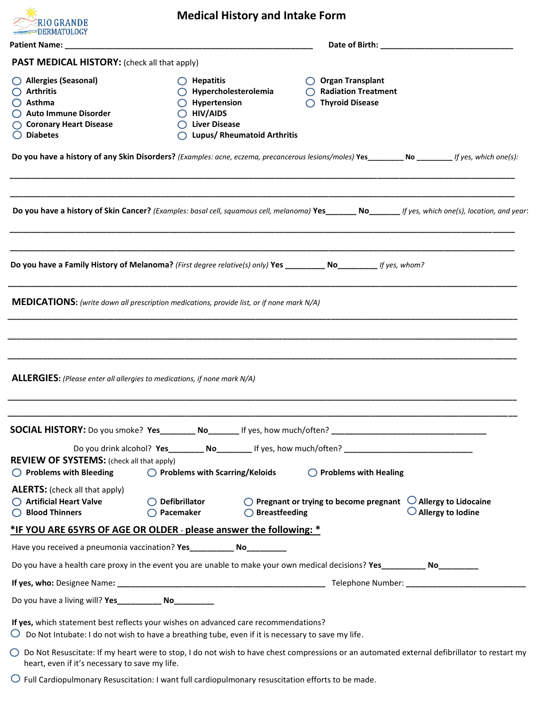| RIO GRANDE<br>=DERMATOLOGY                                                                                                                                                                       |                                                                                                                                       | <b>Medical History and Intake Form</b> |                                                                                                     |                                                                                                                                                    |  |  |
|--------------------------------------------------------------------------------------------------------------------------------------------------------------------------------------------------|---------------------------------------------------------------------------------------------------------------------------------------|----------------------------------------|-----------------------------------------------------------------------------------------------------|----------------------------------------------------------------------------------------------------------------------------------------------------|--|--|
| <b>Patient Name:</b>                                                                                                                                                                             | <u> 1990 - Johann John Harry, mars and de British and de British and de British and de British and de British an</u>                  |                                        |                                                                                                     |                                                                                                                                                    |  |  |
| <b>PAST MEDICAL HISTORY:</b> (check all that apply)                                                                                                                                              |                                                                                                                                       |                                        |                                                                                                     |                                                                                                                                                    |  |  |
| Allergies (Seasonal)<br>$\bigcirc$ Arthritis<br>$\bigcirc$ Asthma<br>Auto Immune Disorder<br>◯ Coronary Heart Disease<br>$\bigcirc$ Diabetes                                                     | $\bigcirc$ Hepatitis<br>$\bigcirc$ Hypercholesterolemia<br>$\bigcirc$ Hypertension<br>$\bigcirc$ HIV/AIDS<br>$\bigcirc$ Liver Disease | <b>Lupus/ Rheumatoid Arthritis</b>     | <b>Organ Transplant</b><br><b>Radiation Treatment</b><br><b>Thyroid Disease</b><br>$\left( \right)$ |                                                                                                                                                    |  |  |
| Do you have a history of any Skin Disorders? (Examples: acne, eczema, precancerous lesions/moles) Yes _________ No ________ If yes, which one(s):                                                |                                                                                                                                       |                                        |                                                                                                     |                                                                                                                                                    |  |  |
|                                                                                                                                                                                                  |                                                                                                                                       |                                        |                                                                                                     | Do you have a history of Skin Cancer? (Examples: basal cell, squamous cell, melanoma) Yes______ No______ If yes, which one(s), location, and year: |  |  |
| Do you have a Family History of Melanoma? (First degree relative(s) only) Yes _________ No_________ If yes, whom?                                                                                |                                                                                                                                       |                                        |                                                                                                     |                                                                                                                                                    |  |  |
| <b>MEDICATIONS:</b> (write down all prescription medications, provide list, or if none mark N/A)                                                                                                 |                                                                                                                                       |                                        |                                                                                                     |                                                                                                                                                    |  |  |
| <b>ALLERGIES:</b> (Please enter all allergies to medications, if none mark N/A)                                                                                                                  |                                                                                                                                       |                                        |                                                                                                     |                                                                                                                                                    |  |  |
|                                                                                                                                                                                                  |                                                                                                                                       |                                        |                                                                                                     |                                                                                                                                                    |  |  |
| <b>REVIEW OF SYSTEMS:</b> (check all that apply)<br>$\bigcirc$ Problems with Bleeding                                                                                                            | $\bigcirc$ Problems with Scarring/Keloids                                                                                             |                                        | $\bigcirc$ Problems with Healing                                                                    |                                                                                                                                                    |  |  |
| <b>ALERTS:</b> (check all that apply)<br>◯ Artificial Heart Valve<br><b>Blood Thinners</b>                                                                                                       | $\bigcirc$ Defibrillator<br>$\bigcirc$ Pacemaker                                                                                      | $\bigcirc$ Breastfeeding               |                                                                                                     | $\bigcirc$ Pregnant or trying to become pregnant $\bigcirc$ Allergy to Lidocaine<br>$\bigcirc$ Allergy to Iodine                                   |  |  |
| *IF YOU ARE 65YRS OF AGE OR OLDER - please answer the following: *                                                                                                                               |                                                                                                                                       |                                        |                                                                                                     |                                                                                                                                                    |  |  |
| Have you received a pneumonia vaccination? Yes ____________ No__________                                                                                                                         |                                                                                                                                       |                                        |                                                                                                     |                                                                                                                                                    |  |  |
|                                                                                                                                                                                                  |                                                                                                                                       |                                        |                                                                                                     |                                                                                                                                                    |  |  |
|                                                                                                                                                                                                  |                                                                                                                                       |                                        |                                                                                                     |                                                                                                                                                    |  |  |
|                                                                                                                                                                                                  |                                                                                                                                       |                                        |                                                                                                     |                                                                                                                                                    |  |  |
| If yes, which statement best reflects your wishes on advanced care recommendations?<br>$\circ$ Do Not Intubate: I do not wish to have a breathing tube, even if it is necessary to save my life. |                                                                                                                                       |                                        |                                                                                                     |                                                                                                                                                    |  |  |
| heart, even if it's necessary to save my life.                                                                                                                                                   | $\sim$ $\sim$ $\sim$ $\sim$                                                                                                           |                                        |                                                                                                     | ○ Do Not Resuscitate: If my heart were to stop, I do not wish to have chest compressions or an automated external defibrillator to restart my      |  |  |

 $\bigcirc$  Full Cardiopulmonary Resuscitation: I want full cardiopulmonary resuscitation efforts to be made.